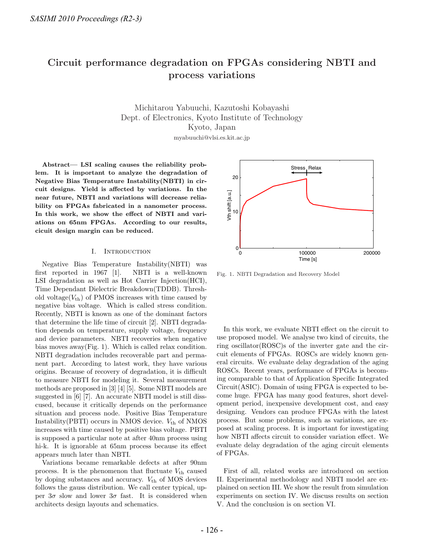# **Circuit performance degradation on FPGAs considering NBTI and process variations**

Michitarou Yabuuchi, Kazutoshi Kobayashi Kyoto, Japan myabuuchi@vlsi.es.kit.ac.jp

**Abstract— LSI scaling causes the reliability problem. It is important to analyze the degradation of Negative Bias Temperature Instability(NBTI) in circuit designs. Yield is affected by variations. In the near future, NBTI and variations will decrease reliability on FPGAs fabricated in a nanometer process. In this work, we show the effect of NBTI and variations on 65nm FPGAs. According to our results, cicuit design margin can be reduced.**

## I. INTRODUCTION

Negative Bias Temperature Instability(NBTI) was first reported in 1967 [1]. NBTI is a well-known LSI degradation as well as Hot Carrier Injection(HCI), Time Dependant Dielectric Breakdown(TDDB). Threshold voltage( $V_{\text{th}}$ ) of PMOS increases with time caused by negative bias voltage. Which is called stress condition. Recently, NBTI is known as one of the dominant factors that determine the life time of circuit [2]. NBTI degradation depends on temperature, supply voltage, frequency and device parameters. NBTI recoveries when negative bias moves away(Fig. 1). Which is called relax condition. NBTI degradation includes recoverable part and permanent part. According to latest work, they have various origins. Because of recovery of degradation, it is difficult to measure NBTI for modeling it. Several measurement methods are proposed in [3] [4] [5]. Some NBTI models are suggested in [6] [7]. An accurate NBTI model is still disscused, because it critically depends on the performance situation and process node. Positive Bias Temperature Instability (PBTI) occurs in NMOS device.  $V_{\text{th}}$  of NMOS increases with time caused by positive bias voltage. PBTI is supposed a particular note at after 40nm process using hi-k. It is ignorable at  $65$ nm process because its effect appears much later than NBTI.

Variations became remarkable defects at after 90nm process. It is the phenomenon that fluctuate  $V_{\text{th}}$  caused by doping substances and accuracy.  $V_{\text{th}}$  of MOS devices follows the gauss distribution. We call center typical, upper  $3\sigma$  slow and lower  $3\sigma$  fast. It is considered when architects design layouts and schematics.



Fig. 1. NBTI Degradation and Recovery Model

In this work, we evaluate NBTI effect on the circuit to use proposed model. We analyse two kind of circuits, the ring oscillator(ROSC)s of the inverter gate and the circuit elements of FPGAs. ROSCs are widely known general circuits. We evaluate delay degradation of the aging ROSCs. Recent years, performance of FPGAs is becoming comparable to that of Application Specific Integrated Circuit(ASIC). Domain of using FPGA is expected to become huge. FPGA has many good features, short development period, inexpensive development cost, and easy designing. Vendors can produce FPGAs with the latest process. But some problems, such as variations, are exposed at scaling process. It is important for investigating how NBTI affects circuit to consider variation effect. We evaluate delay degradation of the aging circuit elements of FPGAs.

First of all, related works are introduced on section II. Experimental methodology and NBTI model are explained on section III. We show the result from simulation experiments on section IV. We discuss results on section V. And the conclusion is on section VI.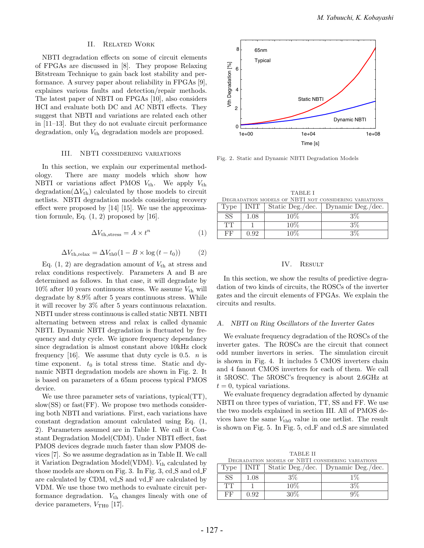# II. Related Work

NBTI degradation effects on some of circuit elements of FPGAs are discussed in [8]. They propose Relaxing Bitstream Technique to gain back lost stability and performance. A survey paper about reliability in FPGAs [9], explaines various faults and detection/repair methods. The latest paper of NBTI on FPGAs [10], also considers HCI and evaluate both DC and AC NBTI effects. They suggest that NBTI and variations are related each other in [11–13]. But they do not evaluate circuit performance degradation, only  $V_{\text{th}}$  degradation models are proposed.

## III. NBTI considering variations

In this section, we explain our experimental methodology. There are many models which show how NBTI or variations affect PMOS  $V_{th}$ . We apply  $V_{th}$ degradation( $\Delta V_{\text{th}}$ ) calculated by those models to circuit netlists. NBTI degradation models considering recovery effect were proposed by [14] [15]. We use the approximation formule, Eq.  $(1, 2)$  proposed by  $[16]$ .

$$
\Delta V_{\text{th,stress}} = A \times t^n \tag{1}
$$

$$
\Delta V_{\text{th,relax}} = \Delta V_{\text{th0}} (1 - B \times \log (t - t_0)) \tag{2}
$$

Eq.  $(1, 2)$  are degradation amount of  $V_{\text{th}}$  at stress and relax conditions respectively. Parameters A and B are determined as follows. In that case, it will degradate by  $10\%$  after 10 years continuous stress. We assume  $V_{\text{th}}$  will degradate by 8.9% after 5 years continuous stress. While it will recover by 3% after 5 years continuous relaxation. NBTI under stress continuous is called static NBTI. NBTI alternating between stress and relax is called dynamic NBTI. Dynamic NBTI degradation is fluctuated by frequency and duty cycle. We ignore frequency dependancy since degradation is almost constant above 10kHz clock frequency [16]. We assume that duty cycle is 0.5.  $n$  is time exponent.  $t_0$  is total stress time. Static and dynamic NBTI degradation models are shown in Fig. 2. It is based on parameters of a 65nm process typical PMOS device.

We use three parameter sets of variations, typical(TT), slow(SS) or fast(FF). We propose two methods considering both NBTI and variations. First, each variations have constant degradation amount calculated using Eq. (1, 2). Parameters assumed are in Table I. We call it Constant Degradation Model(CDM). Under NBTI effect, fast PMOS devices degrade much faster than slow PMOS devices [7]. So we assume degradation as in Table II. We call it Variation Degradation Model(VDM).  $V_{\text{th}}$  calculated by those models are shown on Fig. 3. In Fig. 3, cd S and cd F are calculated by CDM, vd S and vd F are calculated by VDM. We use those two methods to evaluate circuit performance degradation.  $V_{\text{th}}$  changes linealy with one of device parameters,  $V_{\text{TH0}}$  [17].



Fig. 2. Static and Dynamic NBTI Degradation Models

| <b>TABLE I</b>                                        |      |        |                                             |  |  |
|-------------------------------------------------------|------|--------|---------------------------------------------|--|--|
| DEGRADATION MODELS OF NBTI NOT CONSIDERING VARIATIONS |      |        |                                             |  |  |
| Type                                                  |      |        | INIT   Static Deg./dec.   Dynamic Deg./dec. |  |  |
| <b>SS</b>                                             | 1.08 | $10\%$ | 3%                                          |  |  |
| TT                                                    |      | $10\%$ | $3\%$                                       |  |  |
| FF                                                    | 0.92 | $10\%$ | $3\%$                                       |  |  |

#### IV. Result

In this section, we show the results of predictive degradation of two kinds of circuits, the ROSCs of the inverter gates and the circuit elements of FPGAs. We explain the circuits and results.

# *A. NBTI on Ring Oscillators of the Inverter Gates*

We evaluate frequency degradation of the ROSCs of the inverter gates. The ROSCs are the circuit that connect odd number invertors in series. The simulation circuit is shown in Fig. 4. It includes 5 CMOS inverters chain and 4 fanout CMOS inverters for each of them. We call it 5ROSC. The 5ROSC's frequency is about 2.6GHz at  $t = 0$ , typical variations.

We evaluate frequency degradation affected by dynamic NBTI on three types of variation, TT, SS and FF. We use the two models explained in section III. All of PMOS devices have the same  $V_{th0}$  value in one netlist. The result is shown on Fig. 5. In Fig. 5, cd F and cd S are simulated

TABLE II Degradation models of NBTI considering variations

| Type | INIT     | Static Deg./dec. | Dynamic Deg./dec. |
|------|----------|------------------|-------------------|
| SS   | $1.08\,$ | 3%               |                   |
| TТ   |          | 10%              | $3\%$             |
| FF   | N 92     | 30%              |                   |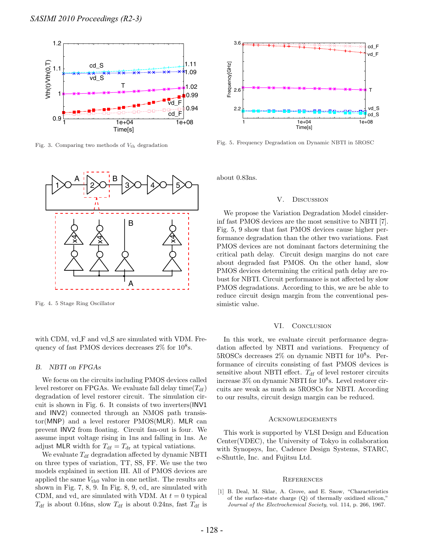

Fig. 3. Comparing two methods of  $V_{\text{th}}$  degradation



Fig. 4. 5 Stage Ring Oscillator

with CDM,  $vd$ F and  $vd$ S are simulated with VDM. Frequency of fast PMOS devices decreases  $2\%$  for  $10^8$ s.

#### В. *B. NBTI on FPGAs*

We focus on the circuits including PMOS devices called level restorer on FPGAs. We evaluate fall delay time( $T_{df}$ ) degradation of level restorer circuit. The simulation circuit is shown in Fig. 6. It consists of two inverters(INV1 and INV2) connected through an NMOS path transistor(MNP) and a level restorer PMOS(MLR). MLR can prevent INV2 from floating. Circuit fan-out is four. We assume input voltage rising in 1ns and falling in 1ns. Ae adjust MLR width for  $T_{\text{df}} = T_{\text{dr}}$  at typical vatiations.

We evaluate  $T_{df}$  degradation affected by dynamic NBTI on three types of variation, TT, SS, FF. We use the two models explained in section III. All of PMOS devices are applied the same  $V_{th0}$  value in one netlist. The results are shown in Fig.  $7, 8, 9$ . In Fig.  $8, 9, cd$  are simulated with CDM, and vd. are simulated with VDM. At  $t = 0$  typical  $T_{\text{df}}$  is about 0.16ns, slow  $T_{\text{df}}$  is about 0.24ns, fast  $T_{\text{df}}$  is



Fig. 5. Frequency Degradation on Dynamic NBTI in 5ROSC

about 0.83ns.

## V. Discussion

We propose the Variation Degradation Model cinsiderinf fast PMOS devices are the most sensitive to NBTI [7]. Fig. 5, 9 show that fast PMOS devices cause higher performance degradation than the other two variations. Fast PMOS devices are not dominant factors determining the critical path delay. Circuit design margins do not care about degraded fast PMOS. On the other hand, slow PMOS devices determining the critical path delay are robust for NBTI. Circuit performance is not affected by slow PMOS degradations. According to this, we are be able to reduce circuit design margin from the conventional pessimistic value.

### VI. CONCLUSION

In this work, we evaluate circuit performance degradation affected by NBTI and variations. Frequency of  $5ROSCs$  decreases  $2\%$  on dynamic NBTI for  $10^8$ s. Performance of circuits consisting of fast PMOS devices is sensitive about NBTI effect.  $T_{df}$  of level restorer circuits increase  $3\%$  on dynamic NBTI for  $10^8$ s. Level restorer circuits are weak as much as 5ROSCs for NBTI. According to our results, circuit design margin can be reduced.

## Acknowledgements

This work is supported by VLSI Design and Education Center(VDEC), the University of Tokyo in collaboration with Synopsys, Inc, Cadence Design Systems, STARC, e-Shuttle, Inc. and Fujitsu Ltd.

## **REFERENCES**

[1] B. Deal, M. Sklar, A. Grove, and E. Snow, "Characteristics of the surface-state charge (Q) of thermally oxidized silicon," Journal of the Electrochemical Society, vol. 114, p. 266, 1967.